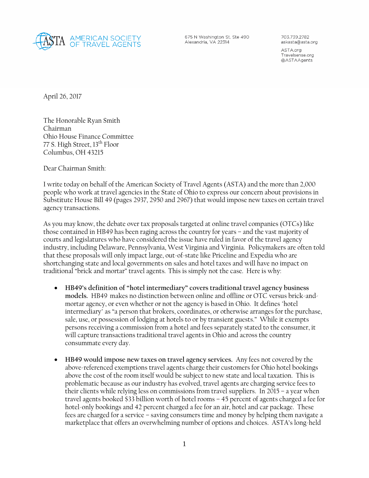

675 N Washington St, Ste 490 Alexandria, VA 22314

703.739.2782 askasta@asta.org

ASTA.org Travelsense.org @ASTAAgents

April 26, 2017

The Honorable Ryan Smith Chairman Ohio House Finance Committee 77 S. High Street, 13<sup>th</sup> Floor Columbus, OH 43215

Dear Chairman Smith:

I write today on behalf of the American Society of Travel Agents (ASTA) and the more than 2,000 people who work at travel agencies in the State of Ohio to express our concern about provisions in Substitute House Bill 49 (pages 2937, 2950 and 2967) that would impose new taxes on certain travel agency transactions.

As you may know, the debate over tax proposals targeted at online travel companies (OTCs) like those contained in HB49 has been raging across the country for years – and the vast majority of courts and legislatures who have considered the issue have ruled in favor of the travel agency industry, including Delaware, Pennsylvania, West Virginia and Virginia. Policymakers are often told that these proposals will only impact large, out-of-state like Priceline and Expedia who are shortchanging state and local governments on sales and hotel taxes and will have no impact on traditional "brick and mortar" travel agents. This is simply not the case. Here is why:

- **HB49's definition of "hotel intermediary" covers traditional travel agency business models.** HB49 makes no distinction between online and offline or OTC versus brick-andmortar agency, or even whether or not the agency is based in Ohio. It defines "hotel intermediary" as "a person that brokers, coordinates, or otherwise arranges for the purchase, sale, use, or possession of lodging at hotels to or by transient guests." While it exempts persons receiving a commission from a hotel and fees separately stated to the consumer, it will capture transactions traditional travel agents in Ohio and across the country consummate every day.
- **HB49 would impose new taxes on travel agency services.** Any fees not covered by the above-referenced exemptions travel agents charge their customers for Ohio hotel bookings above the cost of the room itself would be subject to new state and local taxation. This is problematic because as our industry has evolved, travel agents are charging service fees to their clients while relying less on commissions from travel suppliers. In 2015 – a year when travel agents booked \$33 billion worth of hotel rooms – 45 percent of agents charged a fee for hotel-only bookings and 42 percent charged a fee for an air, hotel and car package. These fees are charged for a service – saving consumers time and money by helping them navigate a marketplace that offers an overwhelming number of options and choices. ASTA's long-held